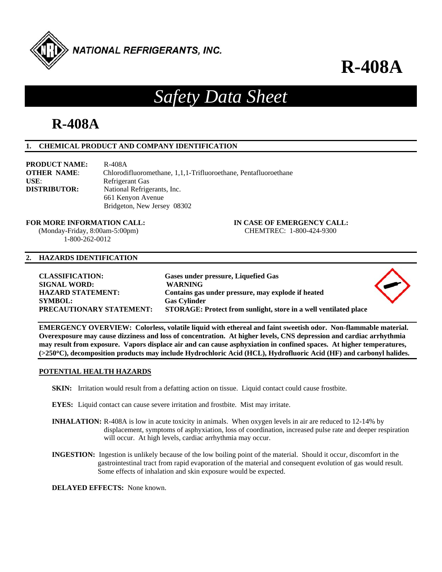

**R-408A**

# *Safety Data Sheet*

# **R-408A**

# **1. CHEMICAL PRODUCT AND COMPANY IDENTIFICATION**

| <b>PRODUCT NAME:</b> | R-408A                                                          |
|----------------------|-----------------------------------------------------------------|
| <b>OTHER NAME:</b>   | Chlorodifluoromethane, 1,1,1-Trifluoroethane, Pentafluoroethane |
| USE:                 | Refrigerant Gas                                                 |
| <b>DISTRIBUTOR:</b>  | National Refrigerants, Inc.                                     |
|                      | 661 Kenyon Avenue                                               |
|                      | Bridgeton, New Jersey 08302                                     |

**FOR MORE INFORMATION CALL: IN CASE OF EMERGENCY CALL:** 

 (Monday-Friday, 8:00am-5:00pm) CHEMTREC: 1-800-424-9300 1-800-262-0012

# **2. HAZARDS IDENTIFICATION**

| <b>CLASSIFICATION:</b><br><b>SIGNAL WORD:</b><br><b>HAZARD STATEMENT:</b><br><b>SYMBOL:</b><br>PRECAUTIONARY STATEMENT: | Gases under pressure, Liquefied Gas<br><b>WARNING</b><br>Contains gas under pressure, may explode if heated<br><b>Gas Cylinder</b><br>STORAGE: Protect from sunlight, store in a well ventilated place |  |
|-------------------------------------------------------------------------------------------------------------------------|--------------------------------------------------------------------------------------------------------------------------------------------------------------------------------------------------------|--|
|                                                                                                                         |                                                                                                                                                                                                        |  |

**EMERGENCY OVERVIEW: Colorless, volatile liquid with ethereal and faint sweetish odor. Non-flammable material. Overexposure may cause dizziness and loss of concentration. At higher levels, CNS depression and cardiac arrhythmia may result from exposure. Vapors displace air and can cause asphyxiation in confined spaces. At higher temperatures, (>250C), decomposition products may include Hydrochloric Acid (HCL), Hydrofluoric Acid (HF) and carbonyl halides.** 

# **POTENTIAL HEALTH HAZARDS**

- **SKIN:** Irritation would result from a defatting action on tissue. Liquid contact could cause frostbite.
- **EYES:** Liquid contact can cause severe irritation and frostbite. Mist may irritate.
- **INHALATION:** R-408A is low in acute toxicity in animals. When oxygen levels in air are reduced to 12-14% by displacement, symptoms of asphyxiation, loss of coordination, increased pulse rate and deeper respiration will occur. At high levels, cardiac arrhythmia may occur.
- **INGESTION:** Ingestion is unlikely because of the low boiling point of the material. Should it occur, discomfort in the gastrointestinal tract from rapid evaporation of the material and consequent evolution of gas would result. Some effects of inhalation and skin exposure would be expected.

**DELAYED EFFECTS:** None known.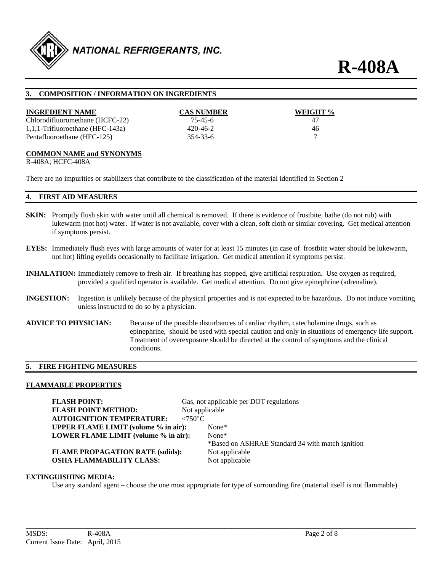

# **3. COMPOSITION / INFORMATION ON INGREDIENTS**

| <b>INGREDIENT NAME</b>           | <b>CAS NUMBER</b> | WEIGHT % |
|----------------------------------|-------------------|----------|
| Chlorodifluoromethane (HCFC-22)  | 75-45-6           | 47       |
| 1,1,1-Trifluoroethane (HFC-143a) | 420-46-2          | 46       |
| Pentafluoroethane (HFC-125)      | 354-33-6          |          |

#### **COMMON NAME and SYNONYMS**

R-408A; HCFC-408A

There are no impurities or stabilizers that contribute to the classification of the material identified in Section 2

#### **4. FIRST AID MEASURES**

- **SKIN:** Promptly flush skin with water until all chemical is removed. If there is evidence of frostbite, bathe (do not rub) with lukewarm (not hot) water. If water is not available, cover with a clean, soft cloth or similar covering. Get medical attention if symptoms persist.
- **EYES:** Immediately flush eyes with large amounts of water for at least 15 minutes (in case of frostbite water should be lukewarm, not hot) lifting eyelids occasionally to facilitate irrigation. Get medical attention if symptoms persist.
- **INHALATION:** Immediately remove to fresh air. If breathing has stopped, give artificial respiration. Use oxygen as required, provided a qualified operator is available. Get medical attention. Do not give epinephrine (adrenaline).
- **INGESTION:** Ingestion is unlikely because of the physical properties and is not expected to be hazardous. Do not induce vomiting unless instructed to do so by a physician.
- **ADVICE TO PHYSICIAN:** Because of the possible disturbances of cardiac rhythm, catecholamine drugs, such as epinephrine, should be used with special caution and only in situations of emergency life support. Treatment of overexposure should be directed at the control of symptoms and the clinical conditions.

# **5. FIRE FIGHTING MEASURES**

#### **FLAMMABLE PROPERTIES**

**FLASH POINT:** Gas, not applicable per DOT regulations **FLASH POINT METHOD:** Not applicable **AUTOIGNITION TEMPERATURE: <750°C UPPER FLAME LIMIT (volume % in air):** None\* **LOWER FLAME LIMIT (volume % in air):** None\* \*Based on ASHRAE Standard 34 with match ignition **FLAME PROPAGATION RATE (solids):** Not applicable **OSHA FLAMMABILITY CLASS:** Not applicable

# **EXTINGUISHING MEDIA:**

Use any standard agent – choose the one most appropriate for type of surrounding fire (material itself is not flammable)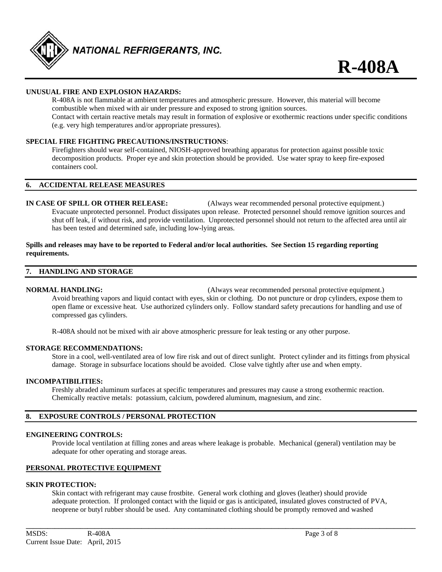

# **UNUSUAL FIRE AND EXPLOSION HAZARDS:**

 R-408A is not flammable at ambient temperatures and atmospheric pressure. However, this material will become combustible when mixed with air under pressure and exposed to strong ignition sources. Contact with certain reactive metals may result in formation of explosive or exothermic reactions under specific conditions (e.g. very high temperatures and/or appropriate pressures).

# **SPECIAL FIRE FIGHTING PRECAUTIONS/INSTRUCTIONS**:

 Firefighters should wear self-contained, NIOSH-approved breathing apparatus for protection against possible toxic decomposition products. Proper eye and skin protection should be provided. Use water spray to keep fire-exposed containers cool.

#### **6. ACCIDENTAL RELEASE MEASURES**

**IN CASE OF SPILL OR OTHER RELEASE:** (Always wear recommended personal protective equipment.) Evacuate unprotected personnel. Product dissipates upon release. Protected personnel should remove ignition sources and shut off leak, if without risk, and provide ventilation. Unprotected personnel should not return to the affected area until air has been tested and determined safe, including low-lying areas.

#### **Spills and releases may have to be reported to Federal and/or local authorities. See Section 15 regarding reporting requirements.**

#### **7. HANDLING AND STORAGE**

**NORMAL HANDLING:** (Always wear recommended personal protective equipment.) Avoid breathing vapors and liquid contact with eyes, skin or clothing. Do not puncture or drop cylinders, expose them to open flame or excessive heat. Use authorized cylinders only. Follow standard safety precautions for handling and use of compressed gas cylinders.

R-408A should not be mixed with air above atmospheric pressure for leak testing or any other purpose.

#### **STORAGE RECOMMENDATIONS:**

 Store in a cool, well-ventilated area of low fire risk and out of direct sunlight. Protect cylinder and its fittings from physical damage. Storage in subsurface locations should be avoided. Close valve tightly after use and when empty.

#### **INCOMPATIBILITIES:**

Freshly abraded aluminum surfaces at specific temperatures and pressures may cause a strong exothermic reaction. Chemically reactive metals: potassium, calcium, powdered aluminum, magnesium, and zinc.

# **8. EXPOSURE CONTROLS / PERSONAL PROTECTION**

#### **ENGINEERING CONTROLS:**

 Provide local ventilation at filling zones and areas where leakage is probable. Mechanical (general) ventilation may be adequate for other operating and storage areas.

# **PERSONAL PROTECTIVE EQUIPMENT**

### **SKIN PROTECTION:**

 Skin contact with refrigerant may cause frostbite. General work clothing and gloves (leather) should provide adequate protection. If prolonged contact with the liquid or gas is anticipated, insulated gloves constructed of PVA, neoprene or butyl rubber should be used. Any contaminated clothing should be promptly removed and washed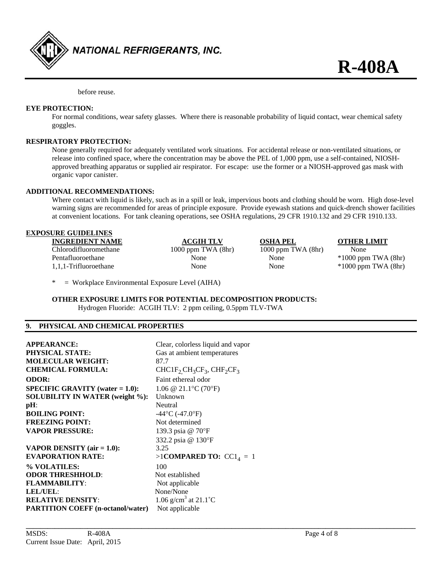

before reuse.

# **EYE PROTECTION:**

 For normal conditions, wear safety glasses. Where there is reasonable probability of liquid contact, wear chemical safety goggles.

# **RESPIRATORY PROTECTION:**

 None generally required for adequately ventilated work situations. For accidental release or non-ventilated situations, or release into confined space, where the concentration may be above the PEL of 1,000 ppm, use a self-contained, NIOSH approved breathing apparatus or supplied air respirator. For escape: use the former or a NIOSH-approved gas mask with organic vapor canister.

# **ADDITIONAL RECOMMENDATIONS:**

 Where contact with liquid is likely, such as in a spill or leak, impervious boots and clothing should be worn. High dose-level warning signs are recommended for areas of principle exposure. Provide eyewash stations and quick-drench shower facilities at convenient locations. For tank cleaning operations, see OSHA regulations, 29 CFR 1910.132 and 29 CFR 1910.133.

#### **EXPOSURE GUIDELINES**

| <b>INGREDIENT NAME</b> | <b>ACGIH TLV</b>       | <b>OSHA PEL</b>        | <b>OTHER LIMIT</b>      |
|------------------------|------------------------|------------------------|-------------------------|
| Chlorodifluoromethane  | $1000$ ppm TWA $(8hr)$ | $1000$ ppm TWA $(8hr)$ | None                    |
| Pentafluoroethane      | None                   | None                   | $*1000$ ppm TWA $(8hr)$ |
| 1,1,1-Trifluoroethane  | None                   | None                   | $*1000$ ppm TWA $(8hr)$ |

**\_\_\_\_\_\_\_\_\_\_\_\_\_\_\_\_\_\_\_\_\_\_\_\_\_\_\_\_\_\_\_\_\_\_\_\_\_\_\_\_\_\_\_\_\_\_\_\_\_\_\_\_\_\_\_\_\_\_\_\_\_\_\_\_\_\_\_\_\_\_\_\_\_\_\_\_\_\_\_\_\_\_\_\_\_\_\_\_\_\_\_\_\_\_\_\_\_\_\_\_\_\_\_\_\_\_\_\_** 

\* = Workplace Environmental Exposure Level (AIHA)

**OTHER EXPOSURE LIMITS FOR POTENTIAL DECOMPOSITION PRODUCTS:**  Hydrogen Fluoride: ACGIH TLV: 2 ppm ceiling, 0.5ppm TLV-TWA

#### **9. PHYSICAL AND CHEMICAL PROPERTIES**

| <b>APPEARANCE:</b><br><b>PHYSICAL STATE:</b><br><b>MOLECULAR WEIGHT:</b><br><b>CHEMICAL FORMULA:</b> | Clear, colorless liquid and vapor<br>Gas at ambient temperatures<br>87.7<br>$CHCIF2CH3CF3$ , $CHF2CF3$ |
|------------------------------------------------------------------------------------------------------|--------------------------------------------------------------------------------------------------------|
| <b>ODOR:</b>                                                                                         | Faint ethereal odor                                                                                    |
| <b>SPECIFIC GRAVITY</b> (water $= 1.0$ ):                                                            | 1.06 @ 21.1 °C (70 °F)                                                                                 |
| <b>SOLUBILITY IN WATER (weight %):</b>                                                               | Unknown                                                                                                |
| $pH$ :                                                                                               | Neutral                                                                                                |
| <b>BOILING POINT:</b>                                                                                | $-44\degree C$ (-47.0 $\degree F$ )                                                                    |
| <b>FREEZING POINT:</b>                                                                               | Not determined                                                                                         |
| <b>VAPOR PRESSURE:</b>                                                                               | 139.3 psia @ 70°F                                                                                      |
|                                                                                                      | 332.2 psia @ 130°F                                                                                     |
| <b>VAPOR DENSITY</b> (air $= 1.0$ ):                                                                 | 3.25                                                                                                   |
| <b>EVAPORATION RATE:</b>                                                                             | $>1$ COMPARED TO: CC1 <sub>4</sub> = 1                                                                 |
| % VOLATILES:                                                                                         | 100                                                                                                    |
| <b>ODOR THRESHHOLD:</b>                                                                              | Not established                                                                                        |
| <b>FLAMMABILITY:</b>                                                                                 | Not applicable                                                                                         |
| <b>LEL/UEL:</b>                                                                                      | None/None                                                                                              |
| <b>RELATIVE DENSITY:</b>                                                                             | 1.06 g/cm <sup>3</sup> at 21.1 °C                                                                      |
| <b>PARTITION COEFF</b> (n-octanol/water)                                                             | Not applicable                                                                                         |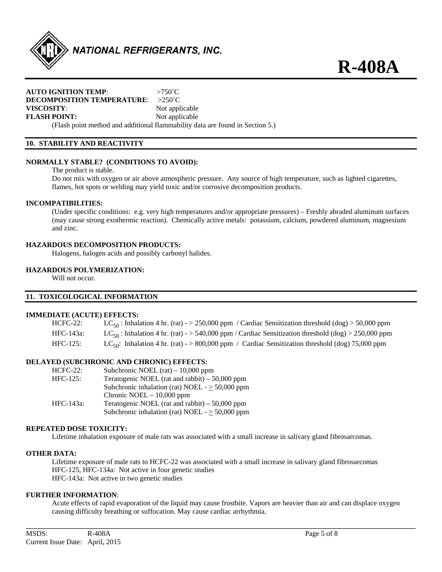

**R-408A**

# **AUTO IGNITION TEMP**: >750˚C **DECOMPOSITION TEMPERATURE**: >250˚C **VISCOSITY:** Not applicable **FLASH POINT:** Not applicable

(Flash point method and additional flammability data are found in Section 5.)

# **10. STABILITY AND REACTIVITY**

# **NORMALLY STABLE? (CONDITIONS TO AVOID):**

The product is stable.

 Do not mix with oxygen or air above atmospheric pressure. Any source of high temperature, such as lighted cigarettes, flames, hot spots or welding may yield toxic and/or corrosive decomposition products.

# **INCOMPATIBILITIES:**

 (Under specific conditions: e.g. very high temperatures and/or appropriate pressures) – Freshly abraded aluminum surfaces (may cause strong exothermic reaction). Chemically active metals: potassium, calcium, powdered aluminum, magnesium and zinc.

# **HAZARDOUS DECOMPOSITION PRODUCTS:**

Halogens, halogen acids and possibly carbonyl halides.

# **HAZARDOUS POLYMERIZATION:**

Will not occur.

# **11. TOXICOLOGICAL INFORMATION**

#### **IMMEDIATE (ACUTE) EFFECTS:**

| $HCFC-22$ : | LC <sub>50</sub> : Inhalation 4 hr. (rat) - > 250,000 ppm / Cardiac Sensitization threshold (dog) > 50,000 ppm |  |
|-------------|----------------------------------------------------------------------------------------------------------------|--|
| HFC-143a:   | $LC_{50}$ : Inhalation 4 hr. (rat) - > 540,000 ppm / Cardiac Sensitization threshold (dog) > 250,000 ppm       |  |
| $HFC-125:$  | LC <sub>50</sub> : Inhalation 4 hr. (rat) - > 800,000 ppm / Cardiac Sensitization threshold (dog) 75,000 ppm   |  |

#### **DELAYED (SUBCHRONIC AND CHRONIC) EFFECTS:**

| $HCFC-22$ : | Subchronic NOEL $(rat) - 10,000$ ppm                 |
|-------------|------------------------------------------------------|
| $HFC-125$ : | Teratogenic NOEL (rat and rabbit) $-50,000$ ppm      |
|             | Subchronic inhalation (rat) NOEL - $\geq$ 50,000 ppm |
|             | Chronic NOEL $-10,000$ ppm                           |
| HFC-143a:   | Teratogenic NOEL (rat and rabbit) $-50,000$ ppm      |
|             | Subchronic inhalation (rat) NOEL - $\geq$ 50,000 ppm |

#### **REPEATED DOSE TOXICITY:**

Lifetime inhalation exposure of male rats was associated with a small increase in salivary gland fibrosarcomas.

#### **OTHER DATA:**

 Lifetime exposure of male rats to HCFC-22 was associated with a small increase in salivary gland fibrosarcomas HFC-125, HFC-134a: Not active in four genetic studies HFC-143a: Not active in two genetic studies

# **FURTHER INFORMATION**:

Acute effects of rapid evaporation of the liquid may cause frostbite. Vapors are heavier than air and can displace oxygen causing difficulty breathing or suffocation. May cause cardiac arrhythmia.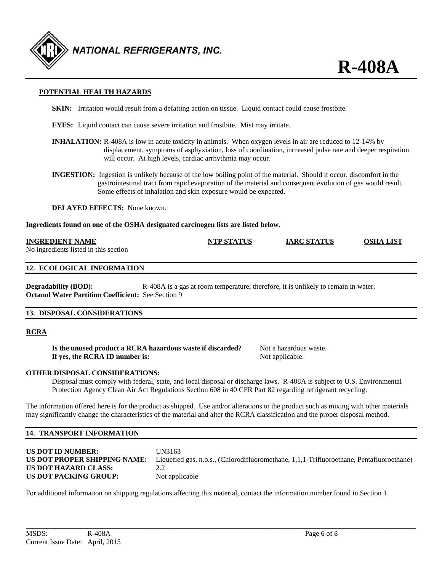

# **POTENTIAL HEALTH HAZARDS**

- **SKIN:** Irritation would result from a defatting action on tissue. Liquid contact could cause frostbite.
- **EYES:** Liquid contact can cause severe irritation and frostbite. Mist may irritate.
- **INHALATION:** R-408A is low in acute toxicity in animals. When oxygen levels in air are reduced to 12-14% by displacement, symptoms of asphyxiation, loss of coordination, increased pulse rate and deeper respiration will occur. At high levels, cardiac arrhythmia may occur.
- **INGESTION:** Ingestion is unlikely because of the low boiling point of the material. Should it occur, discomfort in the gastrointestinal tract from rapid evaporation of the material and consequent evolution of gas would result. Some effects of inhalation and skin exposure would be expected.

**DELAYED EFFECTS:** None known.

**Ingredients found on one of the OSHA designated carcinogen lists are listed below.** 

#### **INGREDIENT NAME NTP STATUS IARC STATUS OSHA LIST**

No ingredients listed in this section

#### **12. ECOLOGICAL INFORMATION**

**Degradability (BOD):** R-408A is a gas at room temperature; therefore, it is unlikely to remain in water. **Octanol Water Partition Coefficient:** See Section 9

#### **13. DISPOSAL CONSIDERATIONS**

#### **RCRA**

**Is the unused product a RCRA hazardous waste if discarded?** Not a hazardous waste. **If yes, the RCRA ID number is:** Not applicable.

**R-408A**

# **OTHER DISPOSAL CONSIDERATIONS:**

 Disposal must comply with federal, state, and local disposal or discharge laws. R-408A is subject to U.S. Environmental Protection Agency Clean Air Act Regulations Section 608 in 40 CFR Part 82 regarding refrigerant recycling.

The information offered here is for the product as shipped. Use and/or alterations to the product such as mixing with other materials may significantly change the characteristics of the material and alter the RCRA classification and the proper disposal method.

# **14. TRANSPORT INFORMATION**

| US DOT ID NUMBER:                             | UN3163                                                                                   |
|-----------------------------------------------|------------------------------------------------------------------------------------------|
| US DOT PROPER SHIPPING NAME:                  | Liquefied gas, n.o.s., (Chlorodifluoromethane, 1,1,1-Trifluoroethane, Pentafluoroethane) |
| US DOT HAZARD CLASS:<br>US DOT PACKING GROUP: | Not applicable                                                                           |

**\_\_\_\_\_\_\_\_\_\_\_\_\_\_\_\_\_\_\_\_\_\_\_\_\_\_\_\_\_\_\_\_\_\_\_\_\_\_\_\_\_\_\_\_\_\_\_\_\_\_\_\_\_\_\_\_\_\_\_\_\_\_\_\_\_\_\_\_\_\_\_\_\_\_\_\_\_\_\_\_\_\_\_\_\_\_\_\_\_\_\_\_\_\_\_\_\_\_\_\_\_\_\_\_\_\_\_\_** 

For additional information on shipping regulations affecting this material, contact the information number found in Section 1.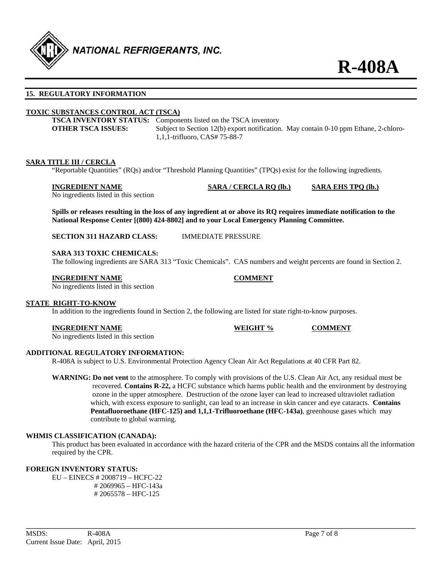

# **15. REGULATORY INFORMATION**

# **TOXIC SUBSTANCES CONTROL ACT (TSCA)**

**TSCA INVENTORY STATUS:** Components listed on the TSCA inventory **OTHER TSCA ISSUES:** Subject to Section 12(b) export notification. May contain 0-10 ppm Ethane, 2-chloro-1,1,1-trifluoro, CAS# 75-88-7

#### **SARA TITLE III / CERCLA**

"Reportable Quantities" (RQs) and/or "Threshold Planning Quantities" (TPQs) exist for the following ingredients.

#### **INGREDIENT NAME SARA / CERCLA RQ (lb.) SARA EHS TPQ (lb.)**

No ingredients listed in this section

**Spills or releases resulting in the loss of any ingredient at or above its RQ requires immediate notification to the National Response Center [(800) 424-8802] and to your Local Emergency Planning Committee.** 

**SECTION 311 HAZARD CLASS:** IMMEDIATE PRESSURE

#### **SARA 313 TOXIC CHEMICALS:**

The following ingredients are SARA 313 "Toxic Chemicals". CAS numbers and weight percents are found in Section 2.

#### **INGREDIENT NAME COMMENT**

No ingredients listed in this section

# **STATE RIGHT-TO-KNOW**

In addition to the ingredients found in Section 2, the following are listed for state right-to-know purposes.

#### **INGREDIENT NAME WEIGHT % COMMENT**

No ingredients listed in this section

#### **ADDITIONAL REGULATORY INFORMATION:**

R-408A is subject to U.S. Environmental Protection Agency Clean Air Act Regulations at 40 CFR Part 82.

**WARNING: Do not vent** to the atmosphere. To comply with provisions of the U.S. Clean Air Act, any residual must be recovered. **Contains R-22,** a HCFC substance which harms public health and the environment by destroying ozone in the upper atmosphere. Destruction of the ozone layer can lead to increased ultraviolet radiation which, with excess exposure to sunlight, can lead to an increase in skin cancer and eye cataracts. **Contains Pentafluoroethane (HFC-125) and 1,1,1-Trifluoroethane (HFC-143a)**, greenhouse gases which may contribute to global warming.

#### **WHMIS CLASSIFICATION (CANADA):**

 This product has been evaluated in accordance with the hazard criteria of the CPR and the MSDS contains all the information required by the CPR.

**\_\_\_\_\_\_\_\_\_\_\_\_\_\_\_\_\_\_\_\_\_\_\_\_\_\_\_\_\_\_\_\_\_\_\_\_\_\_\_\_\_\_\_\_\_\_\_\_\_\_\_\_\_\_\_\_\_\_\_\_\_\_\_\_\_\_\_\_\_\_\_\_\_\_\_\_\_\_\_\_\_\_\_\_\_\_\_\_\_\_\_\_\_\_\_\_\_\_\_\_\_\_\_\_\_\_\_\_** 

# **FOREIGN INVENTORY STATUS:**

EU – EINECS # 2008719 – HCFC-22 # 2069965 – HFC-143a # 2065578 – HFC-125